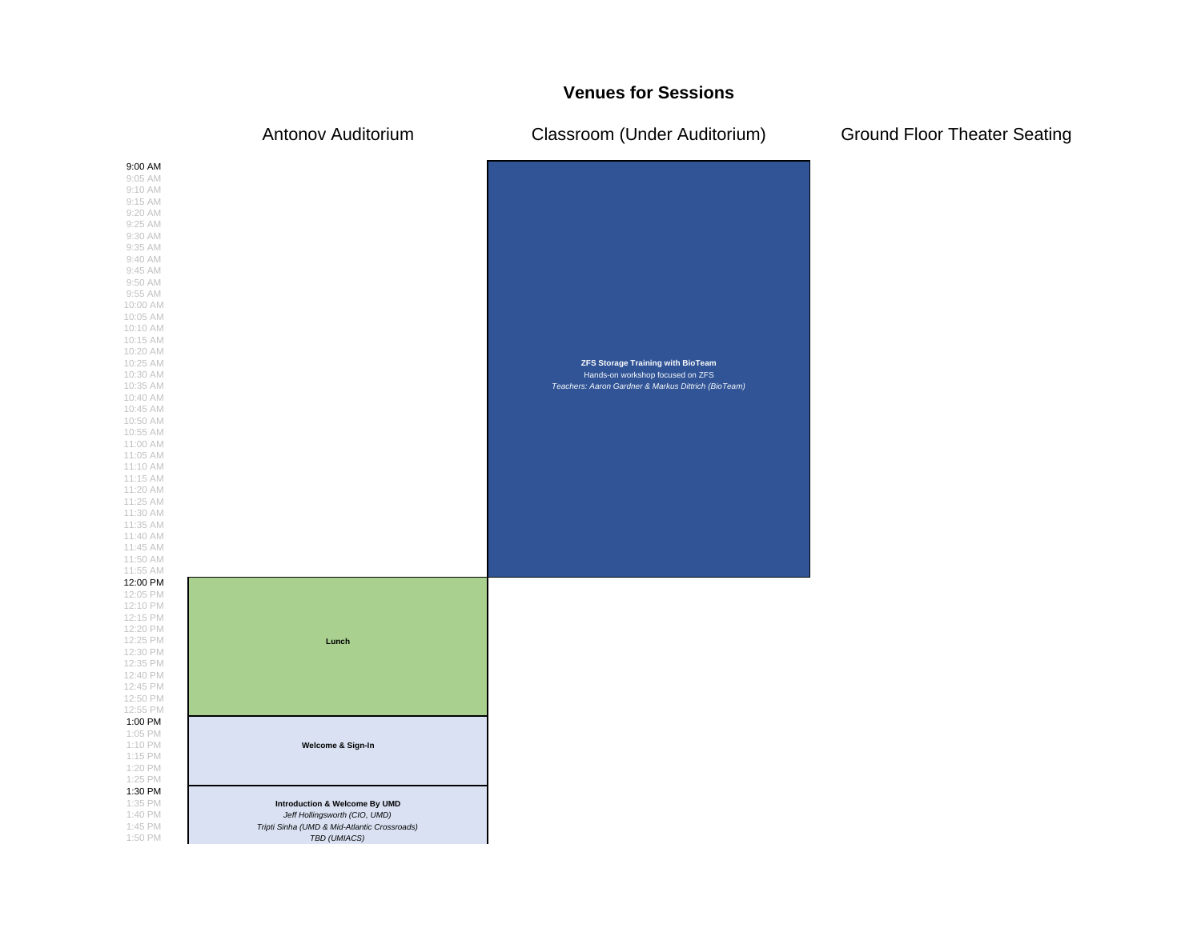## **Venues for Sessions**

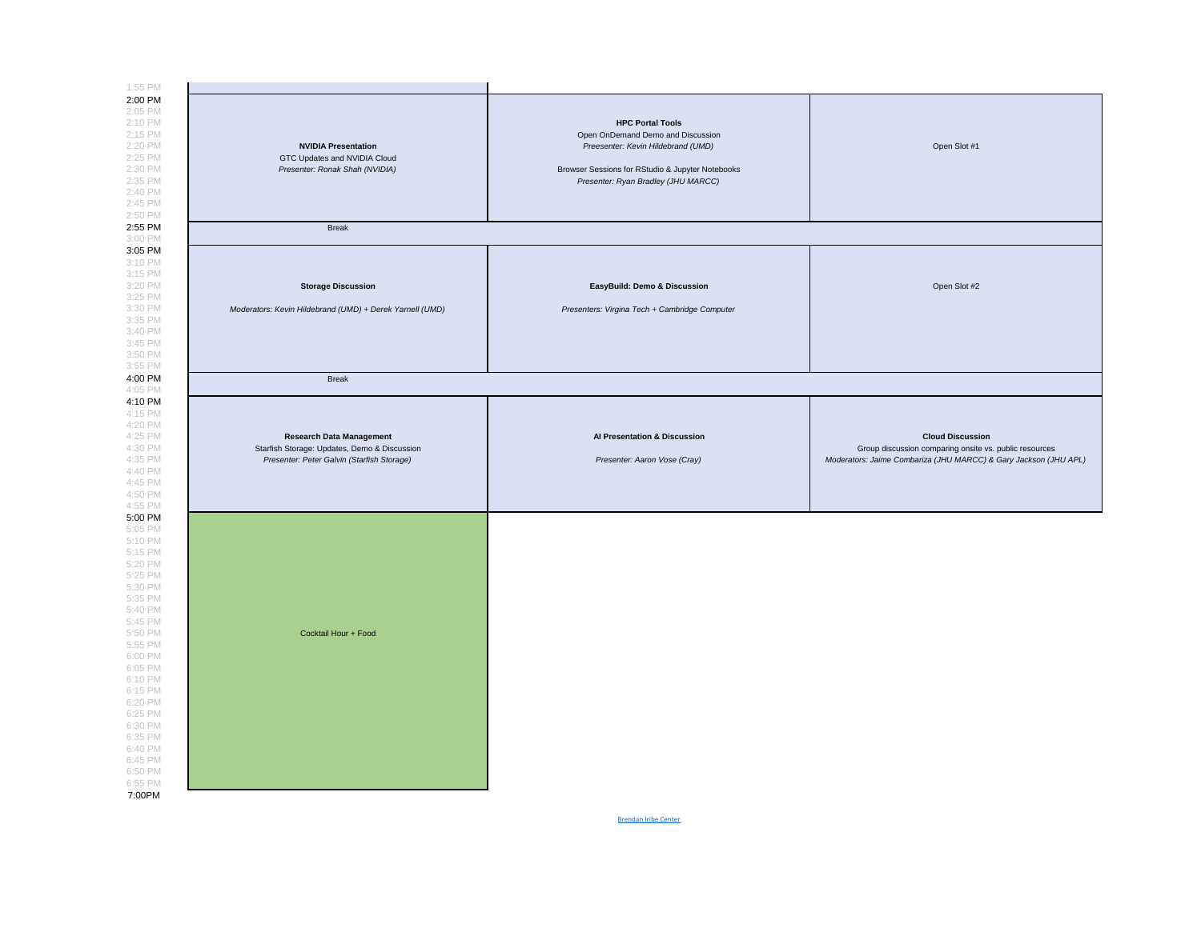

Brendan Iribe Center